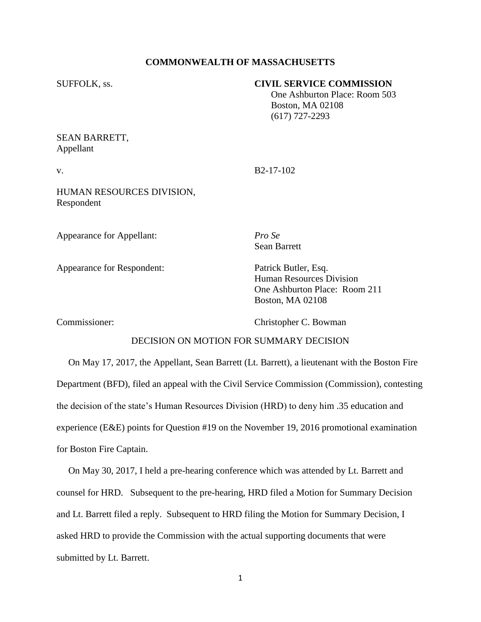# **COMMONWEALTH OF MASSACHUSETTS**

## SUFFOLK, ss. **CIVIL SERVICE COMMISSION**

 One Ashburton Place: Room 503 Boston, MA 02108 (617) 727-2293

# SEAN BARRETT, Appellant

v. B<sub>2-17-102</sub>

HUMAN RESOURCES DIVISION, Respondent

Appearance for Appellant: *Pro Se*

Sean Barrett

Appearance for Respondent: Patrick Butler, Esq.

Human Resources Division One Ashburton Place: Room 211 Boston, MA 02108

Commissioner: Christopher C. Bowman

# DECISION ON MOTION FOR SUMMARY DECISION

 On May 17, 2017, the Appellant, Sean Barrett (Lt. Barrett), a lieutenant with the Boston Fire Department (BFD), filed an appeal with the Civil Service Commission (Commission), contesting the decision of the state's Human Resources Division (HRD) to deny him .35 education and experience (E&E) points for Question #19 on the November 19, 2016 promotional examination for Boston Fire Captain.

 On May 30, 2017, I held a pre-hearing conference which was attended by Lt. Barrett and counsel for HRD. Subsequent to the pre-hearing, HRD filed a Motion for Summary Decision and Lt. Barrett filed a reply. Subsequent to HRD filing the Motion for Summary Decision, I asked HRD to provide the Commission with the actual supporting documents that were submitted by Lt. Barrett.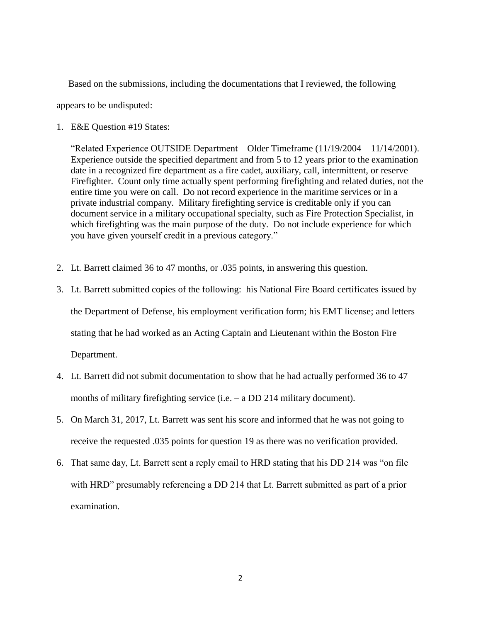Based on the submissions, including the documentations that I reviewed, the following

appears to be undisputed:

1. E&E Question #19 States:

"Related Experience OUTSIDE Department – Older Timeframe (11/19/2004 – 11/14/2001). Experience outside the specified department and from 5 to 12 years prior to the examination date in a recognized fire department as a fire cadet, auxiliary, call, intermittent, or reserve Firefighter. Count only time actually spent performing firefighting and related duties, not the entire time you were on call. Do not record experience in the maritime services or in a private industrial company. Military firefighting service is creditable only if you can document service in a military occupational specialty, such as Fire Protection Specialist, in which firefighting was the main purpose of the duty. Do not include experience for which you have given yourself credit in a previous category."

- 2. Lt. Barrett claimed 36 to 47 months, or .035 points, in answering this question.
- 3. Lt. Barrett submitted copies of the following: his National Fire Board certificates issued by the Department of Defense, his employment verification form; his EMT license; and letters stating that he had worked as an Acting Captain and Lieutenant within the Boston Fire Department.
- 4. Lt. Barrett did not submit documentation to show that he had actually performed 36 to 47 months of military firefighting service (i.e. – a DD 214 military document).
- 5. On March 31, 2017, Lt. Barrett was sent his score and informed that he was not going to receive the requested .035 points for question 19 as there was no verification provided.
- 6. That same day, Lt. Barrett sent a reply email to HRD stating that his DD 214 was "on file with HRD" presumably referencing a DD 214 that Lt. Barrett submitted as part of a prior examination.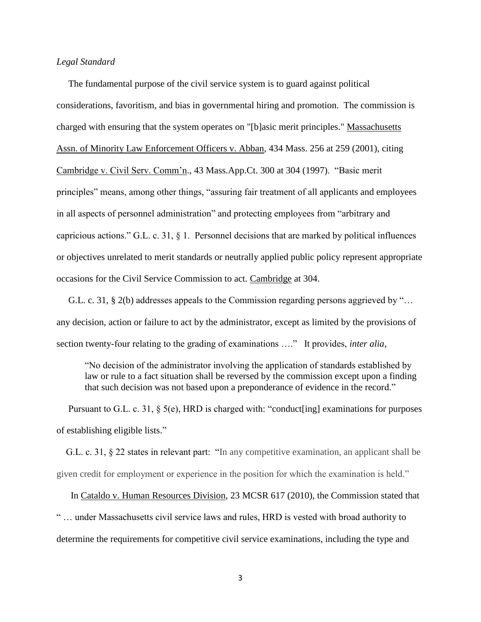## *Legal Standard*

 The fundamental purpose of the civil service system is to guard against political considerations, favoritism, and bias in governmental hiring and promotion. The commission is charged with ensuring that the system operates on "[b]asic merit principles." Massachusetts Assn. of Minority Law Enforcement Officers v. Abban, 434 Mass. 256 at 259 (2001), citing Cambridge v. Civil Serv. Comm'n., 43 Mass.App.Ct. 300 at 304 (1997). "Basic merit principles" means, among other things, "assuring fair treatment of all applicants and employees in all aspects of personnel administration" and protecting employees from "arbitrary and capricious actions." G.L. c. 31,  $\S$  1. Personnel decisions that are marked by political influences or objectives unrelated to merit standards or neutrally applied public policy represent appropriate occasions for the Civil Service Commission to act. Cambridge at 304.

 G.L. c. 31, § 2(b) addresses appeals to the Commission regarding persons aggrieved by "… any decision, action or failure to act by the administrator, except as limited by the provisions of section twenty-four relating to the grading of examinations …." It provides, *inter alia*,

"No decision of the administrator involving the application of standards established by law or rule to a fact situation shall be reversed by the commission except upon a finding that such decision was not based upon a preponderance of evidence in the record."

 Pursuant to G.L. c. 31, § 5(e), HRD is charged with: "conduct[ing] examinations for purposes of establishing eligible lists."

 G.L. c. 31, § 22 states in relevant part: "In any competitive examination, an applicant shall be given credit for employment or experience in the position for which the examination is held."

 In Cataldo v. Human Resources Division, 23 MCSR 617 (2010), the Commission stated that " … under Massachusetts civil service laws and rules, HRD is vested with broad authority to determine the requirements for competitive civil service examinations, including the type and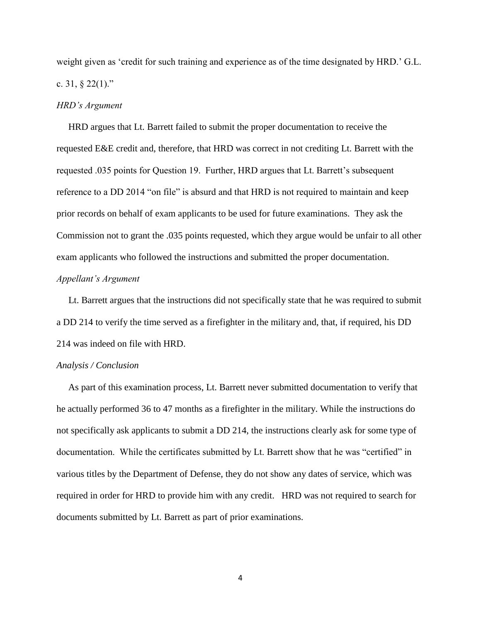weight given as 'credit for such training and experience as of the time designated by HRD.' G.L. c. 31, § 22(1)."

#### *HRD's Argument*

 HRD argues that Lt. Barrett failed to submit the proper documentation to receive the requested E&E credit and, therefore, that HRD was correct in not crediting Lt. Barrett with the requested .035 points for Question 19. Further, HRD argues that Lt. Barrett's subsequent reference to a DD 2014 "on file" is absurd and that HRD is not required to maintain and keep prior records on behalf of exam applicants to be used for future examinations. They ask the Commission not to grant the .035 points requested, which they argue would be unfair to all other exam applicants who followed the instructions and submitted the proper documentation. *Appellant's Argument*

 Lt. Barrett argues that the instructions did not specifically state that he was required to submit a DD 214 to verify the time served as a firefighter in the military and, that, if required, his DD 214 was indeed on file with HRD.

#### *Analysis / Conclusion*

 As part of this examination process, Lt. Barrett never submitted documentation to verify that he actually performed 36 to 47 months as a firefighter in the military. While the instructions do not specifically ask applicants to submit a DD 214, the instructions clearly ask for some type of documentation. While the certificates submitted by Lt. Barrett show that he was "certified" in various titles by the Department of Defense, they do not show any dates of service, which was required in order for HRD to provide him with any credit. HRD was not required to search for documents submitted by Lt. Barrett as part of prior examinations.